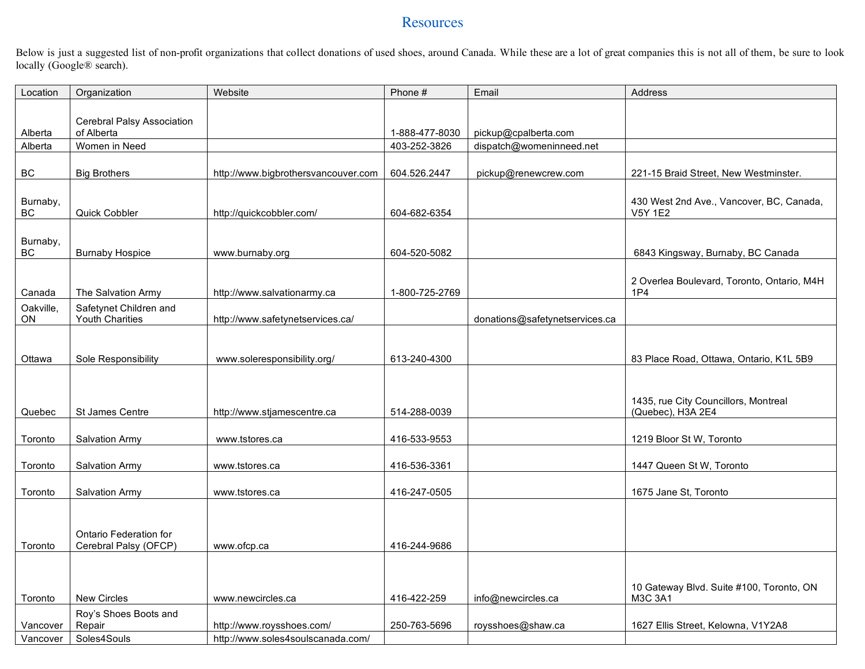## **Resources**

Below is just a suggested list of non-profit organizations that collect donations of used shoes, around Canada. While these are a lot of great companies this is not all of them, be sure to look locally (Google® search).

| Location        | Organization                                     | Website                             | Phone #        | Email                          | Address                                                    |
|-----------------|--------------------------------------------------|-------------------------------------|----------------|--------------------------------|------------------------------------------------------------|
| Alberta         | Cerebral Palsy Association<br>of Alberta         |                                     | 1-888-477-8030 | pickup@cpalberta.com           |                                                            |
| Alberta         | Women in Need                                    |                                     | 403-252-3826   | dispatch@womeninneed.net       |                                                            |
| BC              | <b>Big Brothers</b>                              | http://www.bigbrothersvancouver.com | 604.526.2447   | pickup@renewcrew.com           | 221-15 Braid Street, New Westminster.                      |
| Burnaby,<br>BC  | Quick Cobbler                                    | http://quickcobbler.com/            | 604-682-6354   |                                | 430 West 2nd Ave., Vancover, BC, Canada,<br>V5Y 1E2        |
| Burnaby,<br>BC  | <b>Burnaby Hospice</b>                           | www.burnaby.org                     | 604-520-5082   |                                | 6843 Kingsway, Burnaby, BC Canada                          |
| Canada          | The Salvation Army                               | http://www.salvationarmy.ca         | 1-800-725-2769 |                                | 2 Overlea Boulevard, Toronto, Ontario, M4H<br>1P4          |
| Oakville,<br>ON | Safetynet Children and<br><b>Youth Charities</b> | http://www.safetynetservices.ca/    |                | donations@safetynetservices.ca |                                                            |
| Ottawa          | Sole Responsibility                              | www.soleresponsibility.org/         | 613-240-4300   |                                | 83 Place Road, Ottawa, Ontario, K1L 5B9                    |
| Quebec          | St James Centre                                  | http://www.stjamescentre.ca         | 514-288-0039   |                                | 1435, rue City Councillors, Montreal<br>(Quebec), H3A 2E4  |
| Toronto         | Salvation Army                                   | www.tstores.ca                      | 416-533-9553   |                                | 1219 Bloor St W, Toronto                                   |
| Toronto         | Salvation Army                                   | www.tstores.ca                      | 416-536-3361   |                                | 1447 Queen St W, Toronto                                   |
| Toronto         | Salvation Army                                   | www.tstores.ca                      | 416-247-0505   |                                | 1675 Jane St, Toronto                                      |
| Toronto         | Ontario Federation for<br>Cerebral Palsy (OFCP)  | www.ofcp.ca                         | 416-244-9686   |                                |                                                            |
|                 |                                                  |                                     |                |                                |                                                            |
| Toronto         | <b>New Circles</b>                               | www.newcircles.ca                   | 416-422-259    | info@newcircles.ca             | 10 Gateway Blvd. Suite #100, Toronto, ON<br><b>M3C 3A1</b> |
| Vancover        | Roy's Shoes Boots and<br>Repair                  | http://www.roysshoes.com/           | 250-763-5696   | roysshoes@shaw.ca              | 1627 Ellis Street, Kelowna, V1Y2A8                         |
| Vancover        | Soles4Souls                                      | http://www.soles4soulscanada.com/   |                |                                |                                                            |